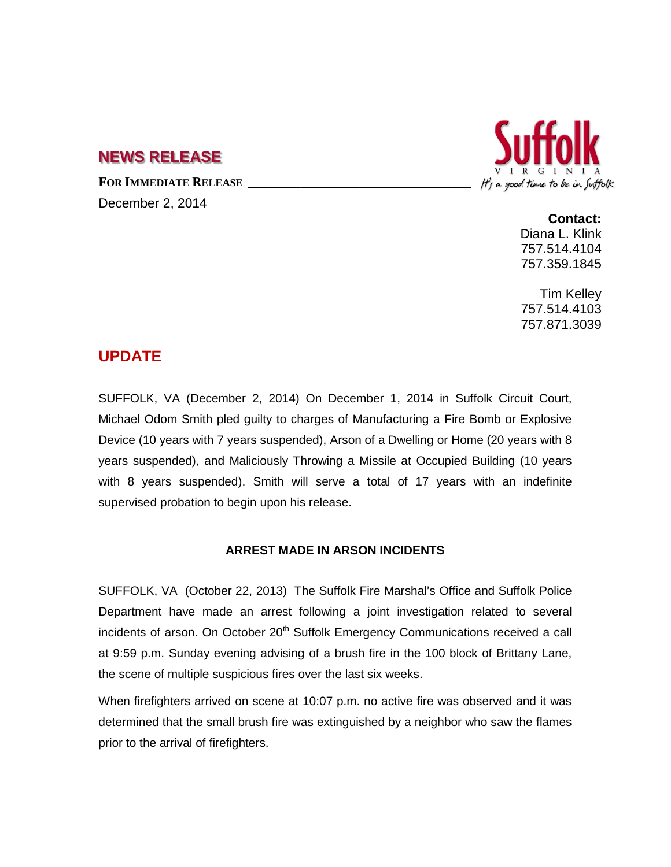## **NEWS RELEASE**

FOR **IMMEDIATE RELEASE** 

December 2, 2014



**Contact:** Diana L. Klink 757.514.4104 757.359.1845

Tim Kelley 757.514.4103 757.871.3039

## **UPDATE**

SUFFOLK, VA (December 2, 2014) On December 1, 2014 in Suffolk Circuit Court, Michael Odom Smith pled guilty to charges of Manufacturing a Fire Bomb or Explosive Device (10 years with 7 years suspended), Arson of a Dwelling or Home (20 years with 8 years suspended), and Maliciously Throwing a Missile at Occupied Building (10 years with 8 years suspended). Smith will serve a total of 17 years with an indefinite supervised probation to begin upon his release.

## **ARREST MADE IN ARSON INCIDENTS**

SUFFOLK, VA (October 22, 2013) The Suffolk Fire Marshal's Office and Suffolk Police Department have made an arrest following a joint investigation related to several incidents of arson. On October 20<sup>th</sup> Suffolk Emergency Communications received a call at 9:59 p.m. Sunday evening advising of a brush fire in the 100 block of Brittany Lane, the scene of multiple suspicious fires over the last six weeks.

When firefighters arrived on scene at 10:07 p.m. no active fire was observed and it was determined that the small brush fire was extinguished by a neighbor who saw the flames prior to the arrival of firefighters.